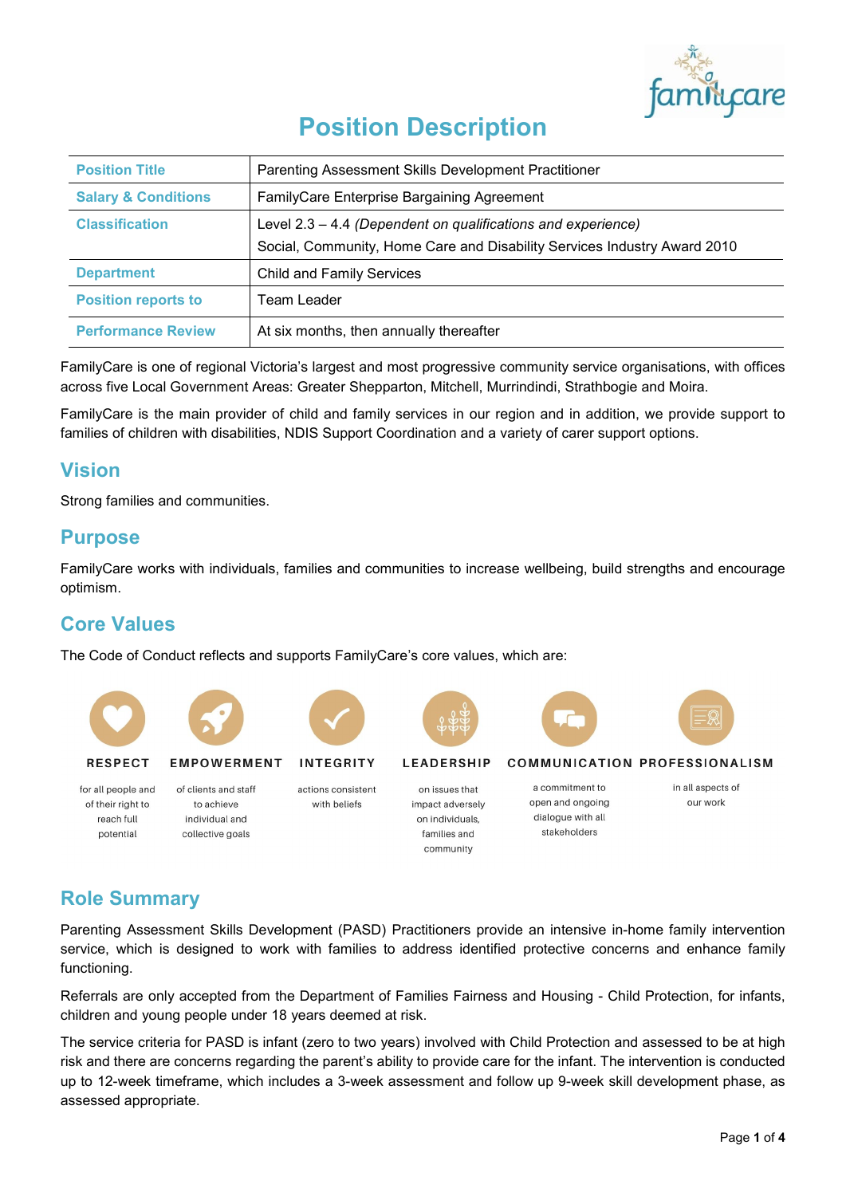

# **Position Description**

| <b>Position Title</b>          | Parenting Assessment Skills Development Practitioner                                                                                       |
|--------------------------------|--------------------------------------------------------------------------------------------------------------------------------------------|
| <b>Salary &amp; Conditions</b> | FamilyCare Enterprise Bargaining Agreement                                                                                                 |
| <b>Classification</b>          | Level $2.3 - 4.4$ (Dependent on qualifications and experience)<br>Social, Community, Home Care and Disability Services Industry Award 2010 |
| <b>Department</b>              | <b>Child and Family Services</b>                                                                                                           |
| <b>Position reports to</b>     | Team Leader                                                                                                                                |
| <b>Performance Review</b>      | At six months, then annually thereafter                                                                                                    |

FamilyCare is one of regional Victoria's largest and most progressive community service organisations, with offices across five Local Government Areas: Greater Shepparton, Mitchell, Murrindindi, Strathbogie and Moira.

FamilyCare is the main provider of child and family services in our region and in addition, we provide support to families of children with disabilities, NDIS Support Coordination and a variety of carer support options.

# **Vision**

Strong families and communities.

### **Purpose**

FamilyCare works with individuals, families and communities to increase wellbeing, build strengths and encourage optimism.

# **Core Values**

The Code of Conduct reflects and supports FamilyCare's core values, which are:



# **Role Summary**

Parenting Assessment Skills Development (PASD) Practitioners provide an intensive in-home family intervention service, which is designed to work with families to address identified protective concerns and enhance family functioning.

Referrals are only accepted from the Department of Families Fairness and Housing - Child Protection, for infants, children and young people under 18 years deemed at risk.

The service criteria for PASD is infant (zero to two years) involved with Child Protection and assessed to be at high risk and there are concerns regarding the parent's ability to provide care for the infant. The intervention is conducted up to 12-week timeframe, which includes a 3-week assessment and follow up 9-week skill development phase, as assessed appropriate.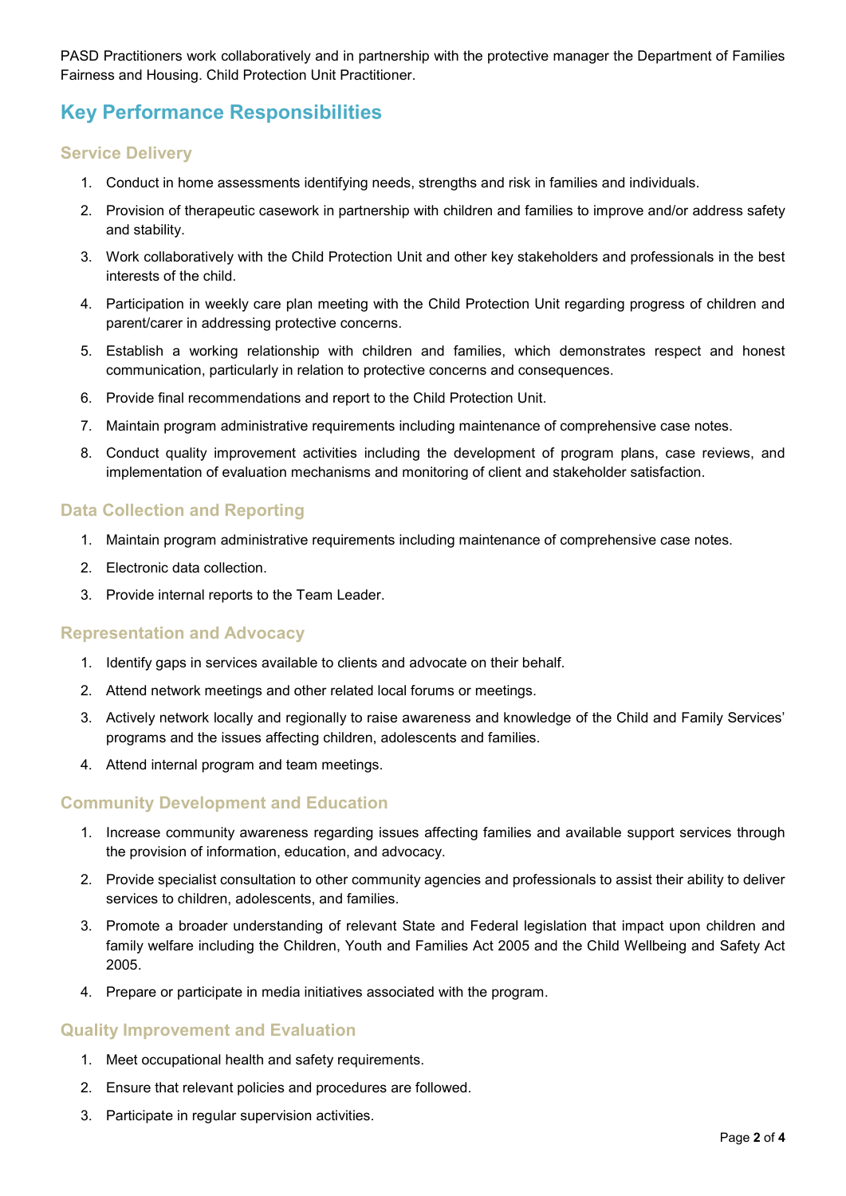PASD Practitioners work collaboratively and in partnership with the protective manager the Department of Families Fairness and Housing. Child Protection Unit Practitioner.

# **Key Performance Responsibilities**

#### **Service Delivery**

- 1. Conduct in home assessments identifying needs, strengths and risk in families and individuals.
- 2. Provision of therapeutic casework in partnership with children and families to improve and/or address safety and stability.
- 3. Work collaboratively with the Child Protection Unit and other key stakeholders and professionals in the best interests of the child.
- 4. Participation in weekly care plan meeting with the Child Protection Unit regarding progress of children and parent/carer in addressing protective concerns.
- 5. Establish a working relationship with children and families, which demonstrates respect and honest communication, particularly in relation to protective concerns and consequences.
- 6. Provide final recommendations and report to the Child Protection Unit.
- 7. Maintain program administrative requirements including maintenance of comprehensive case notes.
- 8. Conduct quality improvement activities including the development of program plans, case reviews, and implementation of evaluation mechanisms and monitoring of client and stakeholder satisfaction.

#### **Data Collection and Reporting**

- 1. Maintain program administrative requirements including maintenance of comprehensive case notes.
- 2. Electronic data collection.
- 3. Provide internal reports to the Team Leader.

#### **Representation and Advocacy**

- 1. Identify gaps in services available to clients and advocate on their behalf.
- 2. Attend network meetings and other related local forums or meetings.
- 3. Actively network locally and regionally to raise awareness and knowledge of the Child and Family Services' programs and the issues affecting children, adolescents and families.
- 4. Attend internal program and team meetings.

#### **Community Development and Education**

- 1. Increase community awareness regarding issues affecting families and available support services through the provision of information, education, and advocacy.
- 2. Provide specialist consultation to other community agencies and professionals to assist their ability to deliver services to children, adolescents, and families.
- 3. Promote a broader understanding of relevant State and Federal legislation that impact upon children and family welfare including the Children, Youth and Families Act 2005 and the Child Wellbeing and Safety Act 2005.
- 4. Prepare or participate in media initiatives associated with the program.

#### **Quality Improvement and Evaluation**

- 1. Meet occupational health and safety requirements.
- 2. Ensure that relevant policies and procedures are followed.
- 3. Participate in regular supervision activities.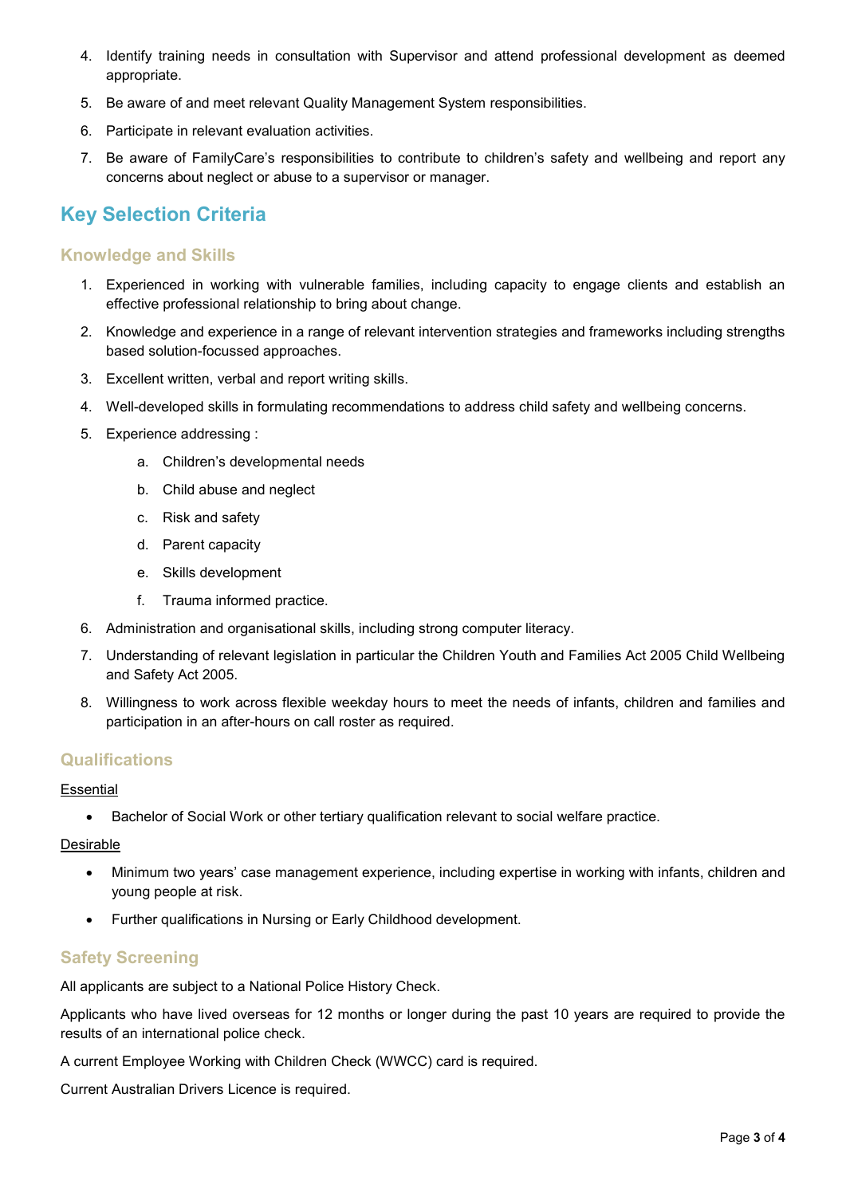- 4. Identify training needs in consultation with Supervisor and attend professional development as deemed appropriate.
- 5. Be aware of and meet relevant Quality Management System responsibilities.
- 6. Participate in relevant evaluation activities.
- 7. Be aware of FamilyCare's responsibilities to contribute to children's safety and wellbeing and report any concerns about neglect or abuse to a supervisor or manager.

# **Key Selection Criteria**

#### **Knowledge and Skills**

- 1. Experienced in working with vulnerable families, including capacity to engage clients and establish an effective professional relationship to bring about change.
- 2. Knowledge and experience in a range of relevant intervention strategies and frameworks including strengths based solution-focussed approaches.
- 3. Excellent written, verbal and report writing skills.
- 4. Well-developed skills in formulating recommendations to address child safety and wellbeing concerns.
- 5. Experience addressing :
	- a. Children's developmental needs
	- b. Child abuse and neglect
	- c. Risk and safety
	- d. Parent capacity
	- e. Skills development
	- f. Trauma informed practice.
- 6. Administration and organisational skills, including strong computer literacy.
- 7. Understanding of relevant legislation in particular the Children Youth and Families Act 2005 Child Wellbeing and Safety Act 2005.
- 8. Willingness to work across flexible weekday hours to meet the needs of infants, children and families and participation in an after-hours on call roster as required.

#### **Qualifications**

#### **Essential**

• Bachelor of Social Work or other tertiary qualification relevant to social welfare practice.

#### Desirable

- Minimum two years' case management experience, including expertise in working with infants, children and young people at risk.
- Further qualifications in Nursing or Early Childhood development.

#### **Safety Screening**

All applicants are subject to a National Police History Check.

Applicants who have lived overseas for 12 months or longer during the past 10 years are required to provide the results of an international police check.

A current Employee Working with Children Check (WWCC) card is required.

Current Australian Drivers Licence is required.